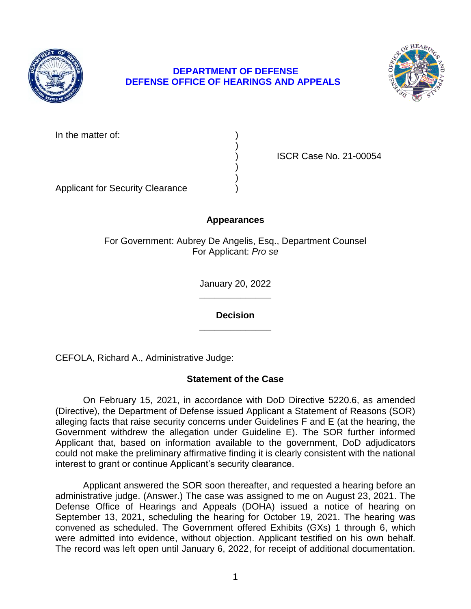

# **DEPARTMENT OF DEFENSE DEFENSE OFFICE OF HEARINGS AND APPEALS**



In the matter of:

) ISCR Case No. 21-00054

Applicant for Security Clearance )

# **Appearances**

)

) )

For Government: Aubrey De Angelis, Esq., Department Counsel For Applicant: *Pro se* 

> **\_\_\_\_\_\_\_\_\_\_\_\_\_\_**  January 20, 2022

**\_\_\_\_\_\_\_\_\_\_\_\_\_\_ Decision** 

CEFOLA, Richard A., Administrative Judge:

# **Statement of the Case**

 On February 15, 2021, in accordance with DoD Directive 5220.6, as amended (Directive), the Department of Defense issued Applicant a Statement of Reasons (SOR) alleging facts that raise security concerns under Guidelines F and E (at the hearing, the Government withdrew the allegation under Guideline E). The SOR further informed Applicant that, based on information available to the government, DoD adjudicators could not make the preliminary affirmative finding it is clearly consistent with the national interest to grant or continue Applicant's security clearance.

 Applicant answered the SOR soon thereafter, and requested a hearing before an administrative judge. (Answer.) The case was assigned to me on August 23, 2021. The Defense Office of Hearings and Appeals (DOHA) issued a notice of hearing on September 13, 2021, scheduling the hearing for October 19, 2021. The hearing was convened as scheduled. The Government offered Exhibits (GXs) 1 through 6, which were admitted into evidence, without objection. Applicant testified on his own behalf. The record was left open until January 6, 2022, for receipt of additional documentation.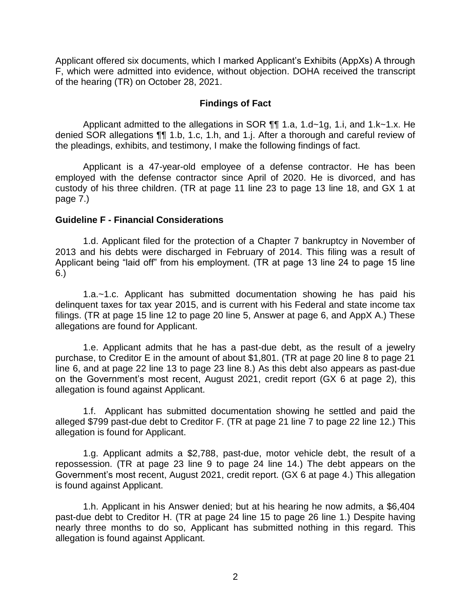Applicant offered six documents, which I marked Applicant's Exhibits (AppXs) A through F, which were admitted into evidence, without objection. DOHA received the transcript of the hearing (TR) on October 28, 2021.

### **Findings of Fact**

 denied SOR allegations ¶¶ 1.b, 1.c, 1.h, and 1.j. After a thorough and careful review of Applicant admitted to the allegations in SOR ¶¶ 1.a, 1.d~1g, 1.i, and 1.k~1.x. He the pleadings, exhibits, and testimony, I make the following findings of fact.

 custody of his three children. (TR at page 11 line 23 to page 13 line 18, and GX 1 at Applicant is a 47-year-old employee of a defense contractor. He has been employed with the defense contractor since April of 2020. He is divorced, and has page 7.)

### **Guideline F - Financial Considerations**

 1.d. Applicant filed for the protection of a Chapter 7 bankruptcy in November of 2013 and his debts were discharged in February of 2014. This filing was a result of Applicant being "laid off" from his employment. (TR at page 13 line 24 to page 15 line 6.)

1.a.~1.c. Applicant has submitted documentation showing he has paid his delinquent taxes for tax year 2015, and is current with his Federal and state income tax filings. (TR at page 15 line 12 to page 20 line 5, Answer at page 6, and AppX A.) These allegations are found for Applicant.

1.e. Applicant admits that he has a past-due debt, as the result of a jewelry purchase, to Creditor E in the amount of about \$1,801. (TR at page 20 line 8 to page 21 line 6, and at page 22 line 13 to page 23 line 8.) As this debt also appears as past-due on the Government's most recent, August 2021, credit report (GX 6 at page 2), this allegation is found against Applicant.

1.f. Applicant has submitted documentation showing he settled and paid the alleged \$799 past-due debt to Creditor F. (TR at page 21 line 7 to page 22 line 12.) This allegation is found for Applicant.

1.g. Applicant admits a \$2,788, past-due, motor vehicle debt, the result of a repossession. (TR at page 23 line 9 to page 24 line 14.) The debt appears on the Government's most recent, August 2021, credit report. (GX 6 at page 4.) This allegation is found against Applicant.

1.h. Applicant in his Answer denied; but at his hearing he now admits, a \$6,404 past-due debt to Creditor H. (TR at page 24 line 15 to page 26 line 1.) Despite having nearly three months to do so, Applicant has submitted nothing in this regard. This allegation is found against Applicant.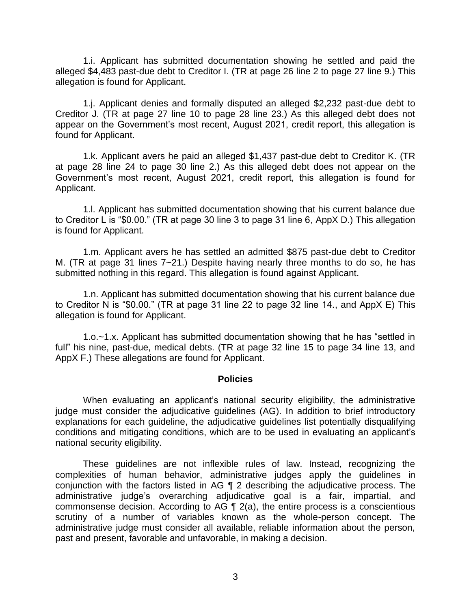1.i. Applicant has submitted documentation showing he settled and paid the alleged \$4,483 past-due debt to Creditor I. (TR at page 26 line 2 to page 27 line 9.) This allegation is found for Applicant.

1.j. Applicant denies and formally disputed an alleged \$2,232 past-due debt to Creditor J. (TR at page 27 line 10 to page 28 line 23.) As this alleged debt does not appear on the Government's most recent, August 2021, credit report, this allegation is found for Applicant.

1.k. Applicant avers he paid an alleged \$1,437 past-due debt to Creditor K. (TR at page 28 line 24 to page 30 line 2.) As this alleged debt does not appear on the Government's most recent, August 2021, credit report, this allegation is found for Applicant.

1.l. Applicant has submitted documentation showing that his current balance due to Creditor L is "\$0.00." (TR at page 30 line 3 to page 31 line 6, AppX D.) This allegation is found for Applicant.

1.m. Applicant avers he has settled an admitted \$875 past-due debt to Creditor M. (TR at page 31 lines 7~21.) Despite having nearly three months to do so, he has submitted nothing in this regard. This allegation is found against Applicant.

1.n. Applicant has submitted documentation showing that his current balance due to Creditor N is "\$0.00." (TR at page 31 line 22 to page 32 line 14., and AppX E) This allegation is found for Applicant.

1.o.~1.x. Applicant has submitted documentation showing that he has "settled in full" his nine, past-due, medical debts. (TR at page 32 line 15 to page 34 line 13, and AppX F.) These allegations are found for Applicant.

#### **Policies**

 When evaluating an applicant's national security eligibility, the administrative judge must consider the adjudicative guidelines (AG). In addition to brief introductory explanations for each guideline, the adjudicative guidelines list potentially disqualifying conditions and mitigating conditions, which are to be used in evaluating an applicant's national security eligibility.

 These guidelines are not inflexible rules of law. Instead, recognizing the complexities of human behavior, administrative judges apply the guidelines in conjunction with the factors listed in AG ¶ 2 describing the adjudicative process. The commonsense decision. According to AG  $\P$  2(a), the entire process is a conscientious scrutiny of a number of variables known as the whole-person concept. The administrative judge must consider all available, reliable information about the person, administrative judge's overarching adjudicative goal is a fair, impartial, and past and present, favorable and unfavorable, in making a decision.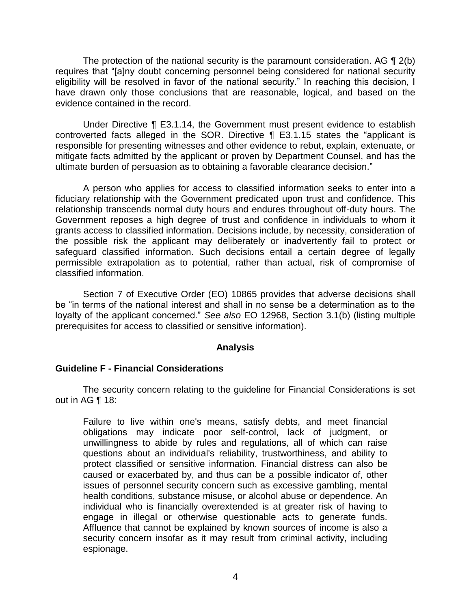The protection of the national security is the paramount consideration. AG  $\P$  2(b) eligibility will be resolved in favor of the national security." In reaching this decision, I have drawn only those conclusions that are reasonable, logical, and based on the requires that "[a]ny doubt concerning personnel being considered for national security evidence contained in the record.

 Under Directive ¶ E3.1.14, the Government must present evidence to establish controverted facts alleged in the SOR. Directive ¶ E3.1.15 states the "applicant is responsible for presenting witnesses and other evidence to rebut, explain, extenuate, or mitigate facts admitted by the applicant or proven by Department Counsel, and has the ultimate burden of persuasion as to obtaining a favorable clearance decision."

 A person who applies for access to classified information seeks to enter into a fiduciary relationship with the Government predicated upon trust and confidence. This relationship transcends normal duty hours and endures throughout off-duty hours. The Government reposes a high degree of trust and confidence in individuals to whom it grants access to classified information. Decisions include, by necessity, consideration of the possible risk the applicant may deliberately or inadvertently fail to protect or safeguard classified information. Such decisions entail a certain degree of legally permissible extrapolation as to potential, rather than actual, risk of compromise of classified information.

Section 7 of Executive Order (EO) 10865 provides that adverse decisions shall be "in terms of the national interest and shall in no sense be a determination as to the loyalty of the applicant concerned." *See also* EO 12968, Section 3.1(b) (listing multiple prerequisites for access to classified or sensitive information).

## **Analysis**

## **Guideline F - Financial Considerations**

 The security concern relating to the guideline for Financial Considerations is set out in AG ¶ 18:

Failure to live within one's means, satisfy debts, and meet financial obligations may indicate poor self-control, lack of judgment, or unwillingness to abide by rules and regulations, all of which can raise questions about an individual's reliability, trustworthiness, and ability to protect classified or sensitive information. Financial distress can also be caused or exacerbated by, and thus can be a possible indicator of, other issues of personnel security concern such as excessive gambling, mental health conditions, substance misuse, or alcohol abuse or dependence. An individual who is financially overextended is at greater risk of having to engage in illegal or otherwise questionable acts to generate funds. Affluence that cannot be explained by known sources of income is also a security concern insofar as it may result from criminal activity, including espionage.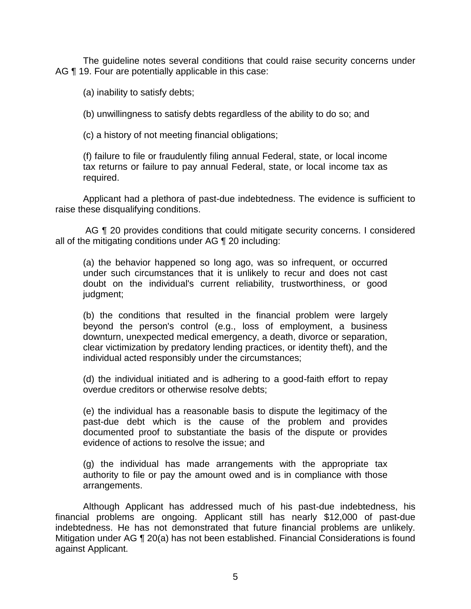The guideline notes several conditions that could raise security concerns under AG ¶ 19. Four are potentially applicable in this case:

(a) inability to satisfy debts;

(b) unwillingness to satisfy debts regardless of the ability to do so; and

(c) a history of not meeting financial obligations;

 (f) failure to file or fraudulently filing annual Federal, state, or local income tax returns or failure to pay annual Federal, state, or local income tax as required.

 Applicant had a plethora of past-due indebtedness. The evidence is sufficient to raise these disqualifying conditions.

AG ¶ 20 provides conditions that could mitigate security concerns. I considered all of the mitigating conditions under AG ¶ 20 including:

(a) the behavior happened so long ago, was so infrequent, or occurred under such circumstances that it is unlikely to recur and does not cast doubt on the individual's current reliability, trustworthiness, or good judgment;

(b) the conditions that resulted in the financial problem were largely beyond the person's control (e.g., loss of employment, a business downturn, unexpected medical emergency, a death, divorce or separation, clear victimization by predatory lending practices, or identity theft), and the individual acted responsibly under the circumstances;

(d) the individual initiated and is adhering to a good-faith effort to repay overdue creditors or otherwise resolve debts;

(e) the individual has a reasonable basis to dispute the legitimacy of the past-due debt which is the cause of the problem and provides documented proof to substantiate the basis of the dispute or provides evidence of actions to resolve the issue; and

 (g) the individual has made arrangements with the appropriate tax authority to file or pay the amount owed and is in compliance with those arrangements.

 Although Applicant has addressed much of his past-due indebtedness, his financial problems are ongoing. Applicant still has nearly \$12,000 of past-due indebtedness. He has not demonstrated that future financial problems are unlikely. Mitigation under AG ¶ 20(a) has not been established. Financial Considerations is found against Applicant.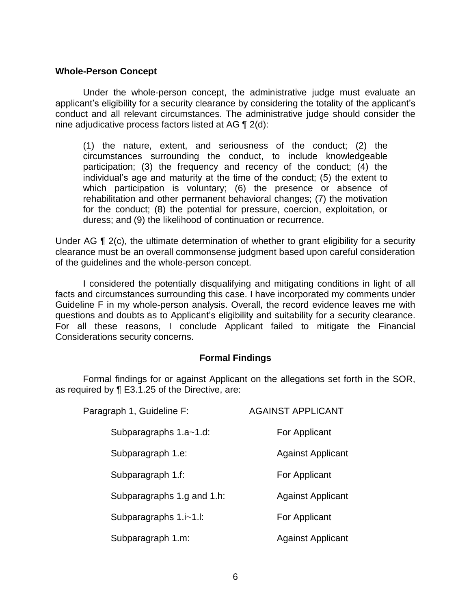#### **Whole-Person Concept**

 Under the whole-person concept, the administrative judge must evaluate an applicant's eligibility for a security clearance by considering the totality of the applicant's conduct and all relevant circumstances. The administrative judge should consider the nine adjudicative process factors listed at AG ¶ 2(d):

(1) the nature, extent, and seriousness of the conduct; (2) the circumstances surrounding the conduct, to include knowledgeable participation; (3) the frequency and recency of the conduct; (4) the individual's age and maturity at the time of the conduct; (5) the extent to which participation is voluntary; (6) the presence or absence of rehabilitation and other permanent behavioral changes; (7) the motivation for the conduct; (8) the potential for pressure, coercion, exploitation, or duress; and (9) the likelihood of continuation or recurrence.

Under AG ¶ 2(c), the ultimate determination of whether to grant eligibility for a security clearance must be an overall commonsense judgment based upon careful consideration of the guidelines and the whole-person concept.

 I considered the potentially disqualifying and mitigating conditions in light of all facts and circumstances surrounding this case. I have incorporated my comments under Guideline F in my whole-person analysis. Overall, the record evidence leaves me with questions and doubts as to Applicant's eligibility and suitability for a security clearance. For all these reasons, I conclude Applicant failed to mitigate the Financial Considerations security concerns.

#### **Formal Findings**

 Formal findings for or against Applicant on the allegations set forth in the SOR, as required by ¶ E3.1.25 of the Directive, are:

| Paragraph 1, Guideline F:  | <b>AGAINST APPLICANT</b> |
|----------------------------|--------------------------|
| Subparagraphs 1.a~1.d:     | For Applicant            |
| Subparagraph 1.e:          | <b>Against Applicant</b> |
| Subparagraph 1.f:          | For Applicant            |
| Subparagraphs 1.g and 1.h: | <b>Against Applicant</b> |
| Subparagraphs 1.i~1.l:     | For Applicant            |
| Subparagraph 1.m:          | <b>Against Applicant</b> |